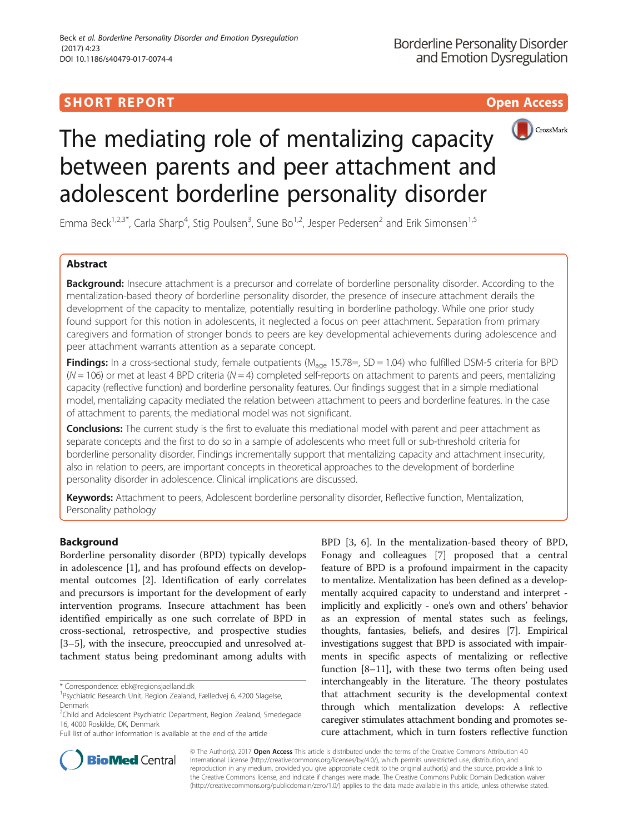# **SHORT REPORT SHORT CONSUMING THE CONSUMING THE CONSUMING THE CONSUMING THE CONSUMING THE CONSUMING THE CONSUMING THE CONSUMING THE CONSUMING THE CONSUMING THE CONSUMING THE CONSUMING THE CONSUMING THE CONSUMING THE CONS**





# The mediating role of mentalizing capacity between parents and peer attachment and adolescent borderline personality disorder

Emma Beck<sup>1,2,3\*</sup>, Carla Sharp<sup>4</sup>, Stig Poulsen<sup>3</sup>, Sune Bo<sup>1,2</sup>, Jesper Pedersen<sup>2</sup> and Erik Simonsen<sup>1,5</sup>

# Abstract

Background: Insecure attachment is a precursor and correlate of borderline personality disorder. According to the mentalization-based theory of borderline personality disorder, the presence of insecure attachment derails the development of the capacity to mentalize, potentially resulting in borderline pathology. While one prior study found support for this notion in adolescents, it neglected a focus on peer attachment. Separation from primary caregivers and formation of stronger bonds to peers are key developmental achievements during adolescence and peer attachment warrants attention as a separate concept.

Findings: In a cross-sectional study, female outpatients ( $M_{\text{age}}$  15.78=, SD = 1.04) who fulfilled DSM-5 criteria for BPD  $(N = 106)$  or met at least 4 BPD criteria  $(N = 4)$  completed self-reports on attachment to parents and peers, mentalizing capacity (reflective function) and borderline personality features. Our findings suggest that in a simple mediational model, mentalizing capacity mediated the relation between attachment to peers and borderline features. In the case of attachment to parents, the mediational model was not significant.

Conclusions: The current study is the first to evaluate this mediational model with parent and peer attachment as separate concepts and the first to do so in a sample of adolescents who meet full or sub-threshold criteria for borderline personality disorder. Findings incrementally support that mentalizing capacity and attachment insecurity, also in relation to peers, are important concepts in theoretical approaches to the development of borderline personality disorder in adolescence. Clinical implications are discussed.

Keywords: Attachment to peers, Adolescent borderline personality disorder, Reflective function, Mentalization, Personality pathology

# Background

Borderline personality disorder (BPD) typically develops in adolescence [[1\]](#page-3-0), and has profound effects on developmental outcomes [[2\]](#page-3-0). Identification of early correlates and precursors is important for the development of early intervention programs. Insecure attachment has been identified empirically as one such correlate of BPD in cross-sectional, retrospective, and prospective studies [[3](#page-3-0)–[5\]](#page-3-0), with the insecure, preoccupied and unresolved attachment status being predominant among adults with

BPD [[3, 6](#page-3-0)]. In the mentalization-based theory of BPD, Fonagy and colleagues [\[7](#page-3-0)] proposed that a central feature of BPD is a profound impairment in the capacity to mentalize. Mentalization has been defined as a developmentally acquired capacity to understand and interpret implicitly and explicitly - one's own and others' behavior as an expression of mental states such as feelings, thoughts, fantasies, beliefs, and desires [[7\]](#page-3-0). Empirical investigations suggest that BPD is associated with impairments in specific aspects of mentalizing or reflective function [[8](#page-3-0)–[11](#page-3-0)], with these two terms often being used interchangeably in the literature. The theory postulates that attachment security is the developmental context through which mentalization develops: A reflective caregiver stimulates attachment bonding and promotes secure attachment, which in turn fosters reflective function



© The Author(s). 2017 Open Access This article is distributed under the terms of the Creative Commons Attribution 4.0 International License [\(http://creativecommons.org/licenses/by/4.0/](http://creativecommons.org/licenses/by/4.0/)), which permits unrestricted use, distribution, and reproduction in any medium, provided you give appropriate credit to the original author(s) and the source, provide a link to the Creative Commons license, and indicate if changes were made. The Creative Commons Public Domain Dedication waiver [\(http://creativecommons.org/publicdomain/zero/1.0/](http://creativecommons.org/publicdomain/zero/1.0/)) applies to the data made available in this article, unless otherwise stated.

<sup>\*</sup> Correspondence: [ebk@regionsjaelland.dk](mailto:ebk@regionsjaelland.dk) <sup>1</sup>

Psychiatric Research Unit, Region Zealand, Fælledvej 6, 4200 Slagelse, Denmark

<sup>&</sup>lt;sup>2</sup>Child and Adolescent Psychiatric Department, Region Zealand, Smedegade 16, 4000 Roskilde, DK, Denmark

Full list of author information is available at the end of the article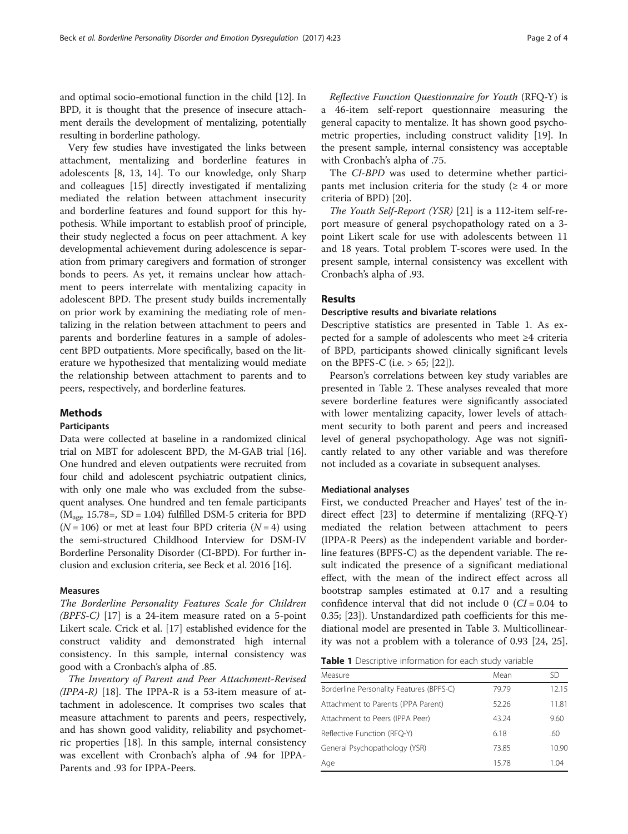and optimal socio-emotional function in the child [\[12\]](#page-3-0). In BPD, it is thought that the presence of insecure attachment derails the development of mentalizing, potentially resulting in borderline pathology.

Very few studies have investigated the links between attachment, mentalizing and borderline features in adolescents [\[8](#page-3-0), [13, 14](#page-3-0)]. To our knowledge, only Sharp and colleagues [\[15](#page-3-0)] directly investigated if mentalizing mediated the relation between attachment insecurity and borderline features and found support for this hypothesis. While important to establish proof of principle, their study neglected a focus on peer attachment. A key developmental achievement during adolescence is separation from primary caregivers and formation of stronger bonds to peers. As yet, it remains unclear how attachment to peers interrelate with mentalizing capacity in adolescent BPD. The present study builds incrementally on prior work by examining the mediating role of mentalizing in the relation between attachment to peers and parents and borderline features in a sample of adolescent BPD outpatients. More specifically, based on the literature we hypothesized that mentalizing would mediate the relationship between attachment to parents and to peers, respectively, and borderline features.

# Methods

# Participants

Data were collected at baseline in a randomized clinical trial on MBT for adolescent BPD, the M-GAB trial [[16](#page-3-0)]. One hundred and eleven outpatients were recruited from four child and adolescent psychiatric outpatient clinics, with only one male who was excluded from the subsequent analyses. One hundred and ten female participants  $(M<sub>age</sub> 15.78=, SD = 1.04)$  fulfilled DSM-5 criteria for BPD  $(N = 106)$  or met at least four BPD criteria  $(N = 4)$  using the semi-structured Childhood Interview for DSM-IV Borderline Personality Disorder (CI-BPD). For further inclusion and exclusion criteria, see Beck et al. 2016 [[16](#page-3-0)].

# Measures

The Borderline Personality Features Scale for Children (BPFS-C) [[17\]](#page-3-0) is a 24-item measure rated on a 5-point Likert scale. Crick et al. [\[17](#page-3-0)] established evidence for the construct validity and demonstrated high internal consistency. In this sample, internal consistency was good with a Cronbach's alpha of .85.

The Inventory of Parent and Peer Attachment-Revised  $(IPPA-R)$  [[18\]](#page-3-0). The IPPA-R is a 53-item measure of attachment in adolescence. It comprises two scales that measure attachment to parents and peers, respectively, and has shown good validity, reliability and psychometric properties [[18](#page-3-0)]. In this sample, internal consistency was excellent with Cronbach's alpha of .94 for IPPA-Parents and .93 for IPPA-Peers.

Reflective Function Questionnaire for Youth (RFQ-Y) is a 46-item self-report questionnaire measuring the general capacity to mentalize. It has shown good psychometric properties, including construct validity [[19](#page-3-0)]. In the present sample, internal consistency was acceptable with Cronbach's alpha of .75.

The CI-BPD was used to determine whether participants met inclusion criteria for the study ( $\geq 4$  or more criteria of BPD) [\[20\]](#page-3-0).

The Youth Self-Report (YSR) [\[21\]](#page-3-0) is a 112-item self-report measure of general psychopathology rated on a 3 point Likert scale for use with adolescents between 11 and 18 years. Total problem T-scores were used. In the present sample, internal consistency was excellent with Cronbach's alpha of .93.

# Results

# Descriptive results and bivariate relations

Descriptive statistics are presented in Table 1. As expected for a sample of adolescents who meet ≥4 criteria of BPD, participants showed clinically significant levels on the BPFS-C (i.e.  $> 65$ ; [[22](#page-3-0)]).

Pearson's correlations between key study variables are presented in Table [2](#page-2-0). These analyses revealed that more severe borderline features were significantly associated with lower mentalizing capacity, lower levels of attachment security to both parent and peers and increased level of general psychopathology. Age was not significantly related to any other variable and was therefore not included as a covariate in subsequent analyses.

# Mediational analyses

First, we conducted Preacher and Hayes' test of the indirect effect [[23](#page-3-0)] to determine if mentalizing (RFQ-Y) mediated the relation between attachment to peers (IPPA-R Peers) as the independent variable and borderline features (BPFS-C) as the dependent variable. The result indicated the presence of a significant mediational effect, with the mean of the indirect effect across all bootstrap samples estimated at 0.17 and a resulting confidence interval that did not include  $0$  (CI = 0.04 to 0.35; [\[23\]](#page-3-0)). Unstandardized path coefficients for this mediational model are presented in Table [3](#page-2-0). Multicollinearity was not a problem with a tolerance of 0.93 [[24, 25](#page-3-0)].

| <b>Table 1</b> Descriptive information for each study variable |  |  |  |
|----------------------------------------------------------------|--|--|--|
|----------------------------------------------------------------|--|--|--|

| Mean  | SD    |
|-------|-------|
| 79.79 | 12.15 |
| 52.26 | 11.81 |
| 43.24 | 9.60  |
| 6.18  | .60   |
| 73.85 | 10.90 |
| 1578  | 1 04  |
|       |       |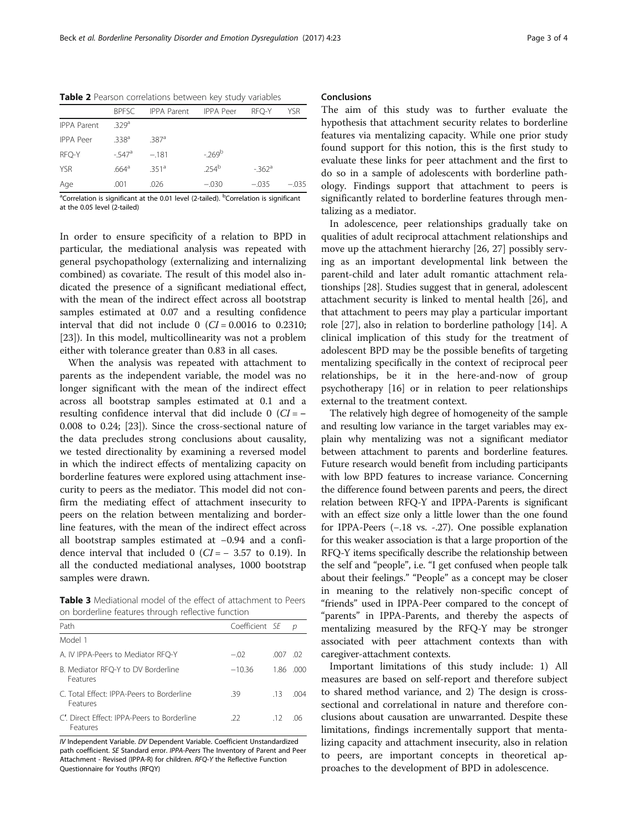|                    | <b>BPESC</b>        | <b>IPPA Parent IPPA Peer</b> |                  | RFO-Y               | YSR     |
|--------------------|---------------------|------------------------------|------------------|---------------------|---------|
| <b>IPPA Parent</b> | 329 <sup>a</sup>    |                              |                  |                     |         |
| <b>IPPA Peer</b>   | 338 <sup>a</sup>    | .387a                        |                  |                     |         |
| RFO-Y              | $-547$ <sup>a</sup> | $-.181$                      | $-269^{\rm b}$   |                     |         |
| <b>YSR</b>         | .664 <sup>a</sup>   | $351^a$                      | 254 <sup>b</sup> | $-362$ <sup>a</sup> |         |
| Age                | .001                | .026                         | $-.030$          | $-.035$             | $-.035$ |

<span id="page-2-0"></span>Table 2 Pearson correlations between key study variables

<sup>a</sup>Correlation is significant at the 0.01 level (2-tailed). <sup>b</sup>Correlation is significant at the 0.05 level (2-tailed)

In order to ensure specificity of a relation to BPD in particular, the mediational analysis was repeated with general psychopathology (externalizing and internalizing combined) as covariate. The result of this model also indicated the presence of a significant mediational effect, with the mean of the indirect effect across all bootstrap samples estimated at 0.07 and a resulting confidence interval that did not include 0  $(CI = 0.0016$  to 0.2310; [[23\]](#page-3-0)). In this model, multicollinearity was not a problem either with tolerance greater than 0.83 in all cases.

When the analysis was repeated with attachment to parents as the independent variable, the model was no longer significant with the mean of the indirect effect across all bootstrap samples estimated at 0.1 and a resulting confidence interval that did include 0  $(CI = -$ 0.008 to 0.24; [[23](#page-3-0)]). Since the cross-sectional nature of the data precludes strong conclusions about causality, we tested directionality by examining a reversed model in which the indirect effects of mentalizing capacity on borderline features were explored using attachment insecurity to peers as the mediator. This model did not confirm the mediating effect of attachment insecurity to peers on the relation between mentalizing and borderline features, with the mean of the indirect effect across all bootstrap samples estimated at −0.94 and a confidence interval that included 0 ( $CI = -3.57$  to 0.19). In all the conducted mediational analyses, 1000 bootstrap samples were drawn.

Table 3 Mediational model of the effect of attachment to Peers on borderline features through reflective function

| Path                                                   | Coefficient SE |      | n    |
|--------------------------------------------------------|----------------|------|------|
| Model 1                                                |                |      |      |
| A. IV IPPA-Peers to Mediator RFO-Y                     | $-.02$         | .007 | -02  |
| B. Mediator RFO-Y to DV Borderline<br>Features         | $-10.36$       | 1.86 | .000 |
| C. Total Effect: IPPA-Peers to Borderline<br>Features  | .39            | .13  | 004  |
| C. Direct Effect: IPPA-Peers to Borderline<br>Features | -22.           | -12  | -06  |

IV Independent Variable. DV Dependent Variable. Coefficient Unstandardized path coefficient. SE Standard error. IPPA-Peers The Inventory of Parent and Peer Attachment - Revised (IPPA-R) for children. RFQ-Y the Reflective Function Questionnaire for Youths (RFQY)

# Conclusions

The aim of this study was to further evaluate the hypothesis that attachment security relates to borderline features via mentalizing capacity. While one prior study found support for this notion, this is the first study to evaluate these links for peer attachment and the first to do so in a sample of adolescents with borderline pathology. Findings support that attachment to peers is significantly related to borderline features through mentalizing as a mediator.

In adolescence, peer relationships gradually take on qualities of adult reciprocal attachment relationships and move up the attachment hierarchy [\[26, 27\]](#page-3-0) possibly serving as an important developmental link between the parent-child and later adult romantic attachment relationships [[28\]](#page-3-0). Studies suggest that in general, adolescent attachment security is linked to mental health [[26\]](#page-3-0), and that attachment to peers may play a particular important role [[27\]](#page-3-0), also in relation to borderline pathology [\[14](#page-3-0)]. A clinical implication of this study for the treatment of adolescent BPD may be the possible benefits of targeting mentalizing specifically in the context of reciprocal peer relationships, be it in the here-and-now of group psychotherapy [\[16](#page-3-0)] or in relation to peer relationships external to the treatment context.

The relatively high degree of homogeneity of the sample and resulting low variance in the target variables may explain why mentalizing was not a significant mediator between attachment to parents and borderline features. Future research would benefit from including participants with low BPD features to increase variance. Concerning the difference found between parents and peers, the direct relation between RFQ-Y and IPPA-Parents is significant with an effect size only a little lower than the one found for IPPA-Peers (−.18 vs. -.27). One possible explanation for this weaker association is that a large proportion of the RFQ-Y items specifically describe the relationship between the self and "people", i.e. "I get confused when people talk about their feelings." "People" as a concept may be closer in meaning to the relatively non-specific concept of "friends" used in IPPA-Peer compared to the concept of "parents" in IPPA-Parents, and thereby the aspects of mentalizing measured by the RFQ-Y may be stronger associated with peer attachment contexts than with caregiver-attachment contexts.

Important limitations of this study include: 1) All measures are based on self-report and therefore subject to shared method variance, and 2) The design is crosssectional and correlational in nature and therefore conclusions about causation are unwarranted. Despite these limitations, findings incrementally support that mentalizing capacity and attachment insecurity, also in relation to peers, are important concepts in theoretical approaches to the development of BPD in adolescence.